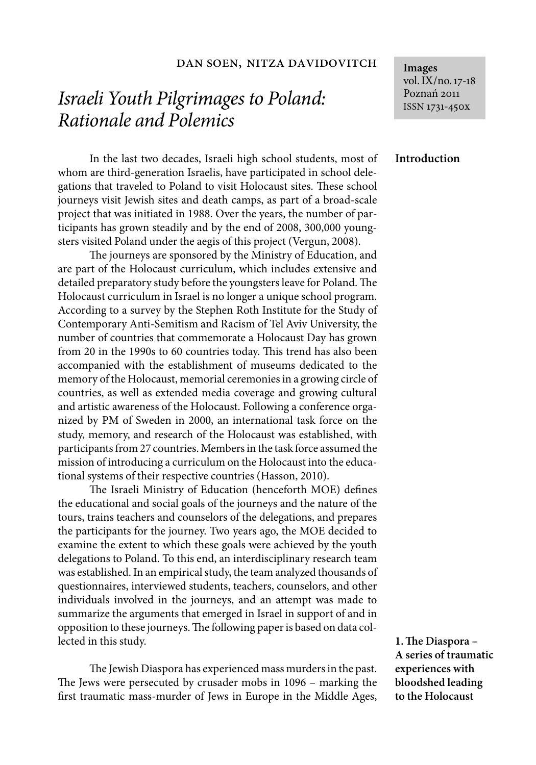## dan soen, nitza davidovitch

# *Israeli Youth Pilgrimages to Poland: Rationale and Polemics*

In the last two decades, Israeli high school students, most of whom are third-generation Israelis, have participated in school delegations that traveled to Poland to visit Holocaust sites. These school journeys visit Jewish sites and death camps, as part of a broad-scale project that was initiated in 1988. Over the years, the number of participants has grown steadily and by the end of 2008, 300,000 youngsters visited Poland under the aegis of this project (Vergun, 2008).

The journeys are sponsored by the Ministry of Education, and are part of the Holocaust curriculum, which includes extensive and detailed preparatory study before the youngsters leave for Poland. The Holocaust curriculum in Israel is no longer a unique school program. According to a survey by the Stephen Roth Institute for the Study of Contemporary Anti-Semitism and Racism of Tel Aviv University, the number of countries that commemorate a Holocaust Day has grown from 20 in the 1990s to 60 countries today. This trend has also been accompanied with the establishment of museums dedicated to the memory of the Holocaust, memorial ceremonies in a growing circle of countries, as well as extended media coverage and growing cultural and artistic awareness of the Holocaust. Following a conference organized by PM of Sweden in 2000, an international task force on the study, memory, and research of the Holocaust was established, with participants from 27 countries. Members in the task force assumed the mission of introducing a curriculum on the Holocaust into the educational systems of their respective countries (Hasson, 2010).

The Israeli Ministry of Education (henceforth MOE) defines the educational and social goals of the journeys and the nature of the tours, trains teachers and counselors of the delegations, and prepares the participants for the journey. Two years ago, the MOE decided to examine the extent to which these goals were achieved by the youth delegations to Poland. To this end, an interdisciplinary research team was established. In an empirical study, the team analyzed thousands of questionnaires, interviewed students, teachers, counselors, and other individuals involved in the journeys, and an attempt was made to summarize the arguments that emerged in Israel in support of and in opposition to these journeys. The following paper is based on data collected in this study.

The Jewish Diaspora has experienced mass murders in the past. The Jews were persecuted by crusader mobs in 1096 – marking the first traumatic mass-murder of Jews in Europe in the Middle Ages, **Images** vol. IX/no. 17-18 Poznań 2011 ISSN 1731-450x

## **Introduction**

**1. The Diaspora – A series of traumatic experiences with bloodshed leading to the Holocaust**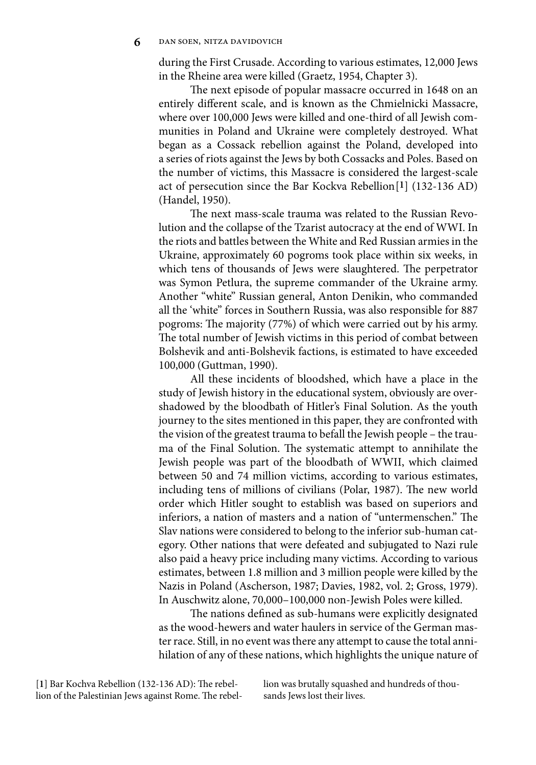during the First Crusade. According to various estimates, 12,000 Jews in the Rheine area were killed (Graetz, 1954, Chapter 3).

The next episode of popular massacre occurred in 1648 on an entirely different scale, and is known as the Chmielnicki Massacre, where over 100,000 Jews were killed and one-third of all Jewish communities in Poland and Ukraine were completely destroyed. What began as a Cossack rebellion against the Poland, developed into a series of riots against the Jews by both Cossacks and Poles. Based on the number of victims, this Massacre is considered the largest-scale act of persecution since the Bar Kockva Rebellion[**1**] (132-136 AD) (Handel, 1950).

The next mass-scale trauma was related to the Russian Revolution and the collapse of the Tzarist autocracy at the end of WWI. In the riots and battles between the White and Red Russian armies in the Ukraine, approximately 60 pogroms took place within six weeks, in which tens of thousands of Jews were slaughtered. The perpetrator was Symon Petlura, the supreme commander of the Ukraine army. Another "white" Russian general, Anton Denikin, who commanded all the 'white" forces in Southern Russia, was also responsible for 887 pogroms: The majority (77%) of which were carried out by his army. The total number of Jewish victims in this period of combat between Bolshevik and anti-Bolshevik factions, is estimated to have exceeded 100,000 (Guttman, 1990).

All these incidents of bloodshed, which have a place in the study of Jewish history in the educational system, obviously are overshadowed by the bloodbath of Hitler's Final Solution. As the youth journey to the sites mentioned in this paper, they are confronted with the vision of the greatest trauma to befall the Jewish people – the trauma of the Final Solution. The systematic attempt to annihilate the Jewish people was part of the bloodbath of WWII, which claimed between 50 and 74 million victims, according to various estimates, including tens of millions of civilians (Polar, 1987). The new world order which Hitler sought to establish was based on superiors and inferiors, a nation of masters and a nation of "untermenschen." The Slav nations were considered to belong to the inferior sub-human category. Other nations that were defeated and subjugated to Nazi rule also paid a heavy price including many victims. According to various estimates, between 1.8 million and 3 million people were killed by the Nazis in Poland (Ascherson, 1987; Davies, 1982, vol. 2; Gross, 1979). In Auschwitz alone, 70,000–100,000 non-Jewish Poles were killed.

The nations defined as sub-humans were explicitly designated as the wood-hewers and water haulers in service of the German master race. Still, in no event was there any attempt to cause the total annihilation of any of these nations, which highlights the unique nature of

[**1**] Bar Kochva Rebellion (132-136 AD): The rebellion of the Palestinian Jews against Rome. The rebellion was brutally squashed and hundreds of thousands Jews lost their lives.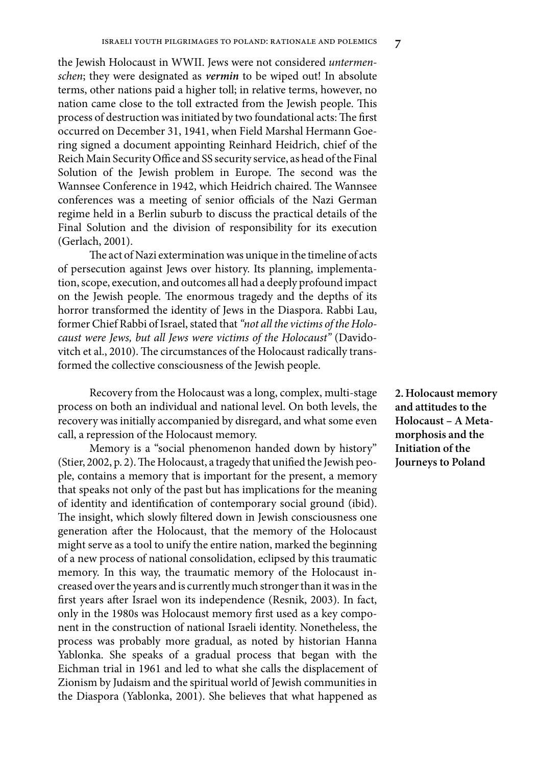the Jewish Holocaust in WWII. Jews were not considered *untermenschen*; they were designated as *vermin* to be wiped out! In absolute terms, other nations paid a higher toll; in relative terms, however, no nation came close to the toll extracted from the Jewish people. This process of destruction was initiated by two foundational acts: The first occurred on December 31, 1941, when Field Marshal Hermann Goering signed a document appointing Reinhard Heidrich, chief of the Reich Main Security Office and SS security service, as head of the Final Solution of the Jewish problem in Europe. The second was the Wannsee Conference in 1942, which Heidrich chaired. The Wannsee conferences was a meeting of senior officials of the Nazi German regime held in a Berlin suburb to discuss the practical details of the Final Solution and the division of responsibility for its execution (Gerlach, 2001).

The act of Nazi extermination was unique in the timeline of acts of persecution against Jews over history. Its planning, implementation, scope, execution, and outcomes all had a deeply profound impact on the Jewish people. The enormous tragedy and the depths of its horror transformed the identity of Jews in the Diaspora. Rabbi Lau, former Chief Rabbi of Israel, stated that *"not all the victims of the Holocaust were Jews, but all Jews were victims of the Holocaust"* (Davidovitch et al., 2010). The circumstances of the Holocaust radically transformed the collective consciousness of the Jewish people.

Recovery from the Holocaust was a long, complex, multi-stage process on both an individual and national level. On both levels, the recovery was initially accompanied by disregard, and what some even call, a repression of the Holocaust memory.

Memory is a "social phenomenon handed down by history" (Stier, 2002, p. 2). The Holocaust, a tragedy that unified the Jewish people, contains a memory that is important for the present, a memory that speaks not only of the past but has implications for the meaning of identity and identification of contemporary social ground (ibid). The insight, which slowly filtered down in Jewish consciousness one generation after the Holocaust, that the memory of the Holocaust might serve as a tool to unify the entire nation, marked the beginning of a new process of national consolidation, eclipsed by this traumatic memory. In this way, the traumatic memory of the Holocaust increased over the years and is currently much stronger than it was in the first years after Israel won its independence (Resnik, 2003). In fact, only in the 1980s was Holocaust memory first used as a key component in the construction of national Israeli identity. Nonetheless, the process was probably more gradual, as noted by historian Hanna Yablonka. She speaks of a gradual process that began with the Eichman trial in 1961 and led to what she calls the displacement of Zionism by Judaism and the spiritual world of Jewish communities in the Diaspora (Yablonka, 2001). She believes that what happened as

**2. Holocaust memory and attitudes to the Holocaust – A Metamorphosis and the Initiation of the Journeys to Poland**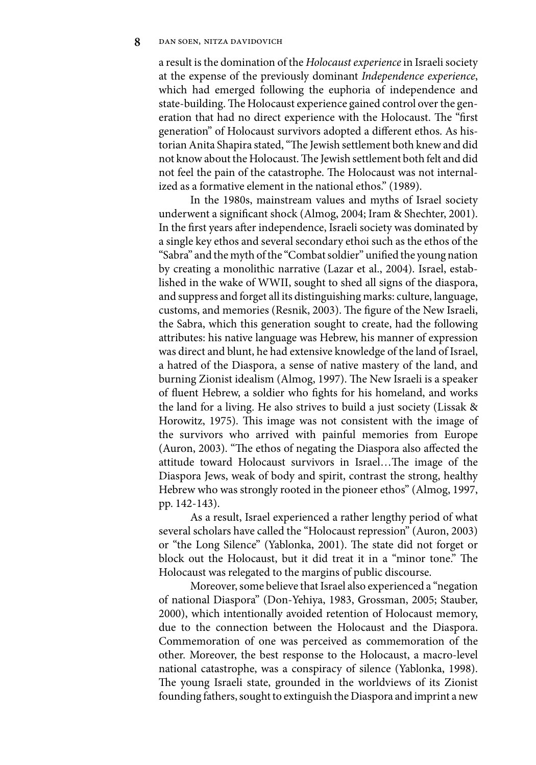a result is the domination of the *Holocaust experience* in Israeli society at the expense of the previously dominant *Independence experience*, which had emerged following the euphoria of independence and state-building. The Holocaust experience gained control over the generation that had no direct experience with the Holocaust. The "first generation" of Holocaust survivors adopted a different ethos. As historian Anita Shapira stated, "The Jewish settlement both knew and did not know about the Holocaust. The Jewish settlement both felt and did not feel the pain of the catastrophe. The Holocaust was not internalized as a formative element in the national ethos." (1989).

In the 1980s, mainstream values and myths of Israel society underwent a significant shock (Almog, 2004; Iram & Shechter, 2001). In the first years after independence, Israeli society was dominated by a single key ethos and several secondary ethoi such as the ethos of the "Sabra" and the myth of the "Combat soldier" unified the young nation by creating a monolithic narrative (Lazar et al., 2004). Israel, established in the wake of WWII, sought to shed all signs of the diaspora, and suppress and forget all its distinguishing marks: culture, language, customs, and memories (Resnik, 2003). The figure of the New Israeli, the Sabra, which this generation sought to create, had the following attributes: his native language was Hebrew, his manner of expression was direct and blunt, he had extensive knowledge of the land of Israel, a hatred of the Diaspora, a sense of native mastery of the land, and burning Zionist idealism (Almog, 1997). The New Israeli is a speaker of fluent Hebrew, a soldier who fights for his homeland, and works the land for a living. He also strives to build a just society (Lissak & Horowitz, 1975). This image was not consistent with the image of the survivors who arrived with painful memories from Europe (Auron, 2003). "The ethos of negating the Diaspora also affected the attitude toward Holocaust survivors in Israel…The image of the Diaspora Jews, weak of body and spirit, contrast the strong, healthy Hebrew who was strongly rooted in the pioneer ethos" (Almog, 1997, pp. 142-143).

As a result, Israel experienced a rather lengthy period of what several scholars have called the "Holocaust repression" (Auron, 2003) or "the Long Silence" (Yablonka, 2001). The state did not forget or block out the Holocaust, but it did treat it in a "minor tone." The Holocaust was relegated to the margins of public discourse.

Moreover, some believe that Israel also experienced a "negation of national Diaspora" (Don-Yehiya, 1983, Grossman, 2005; Stauber, 2000), which intentionally avoided retention of Holocaust memory, due to the connection between the Holocaust and the Diaspora. Commemoration of one was perceived as commemoration of the other. Moreover, the best response to the Holocaust, a macro-level national catastrophe, was a conspiracy of silence (Yablonka, 1998). The young Israeli state, grounded in the worldviews of its Zionist founding fathers, sought to extinguish the Diaspora and imprint a new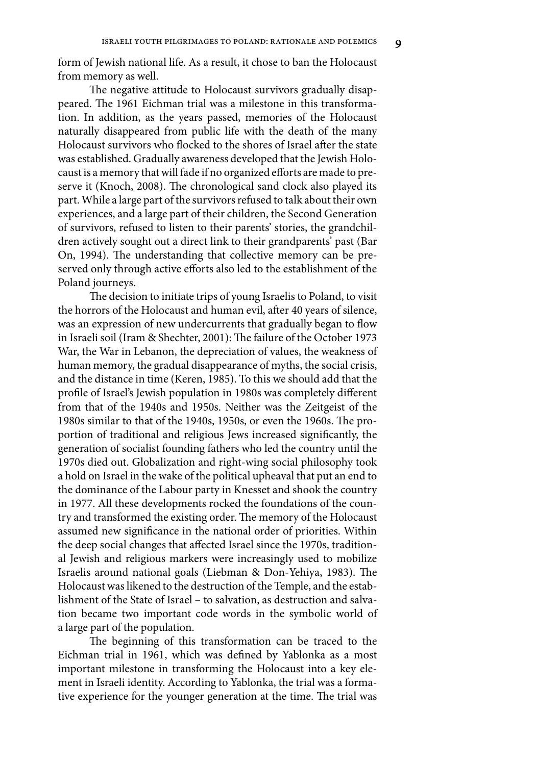form of Jewish national life. As a result, it chose to ban the Holocaust from memory as well.

The negative attitude to Holocaust survivors gradually disappeared. The 1961 Eichman trial was a milestone in this transformation. In addition, as the years passed, memories of the Holocaust naturally disappeared from public life with the death of the many Holocaust survivors who flocked to the shores of Israel after the state was established. Gradually awareness developed that the Jewish Holocaust is a memory that will fade if no organized efforts are made to preserve it (Knoch, 2008). The chronological sand clock also played its part. While a large part of the survivors refused to talk about their own experiences, and a large part of their children, the Second Generation of survivors, refused to listen to their parents' stories, the grandchildren actively sought out a direct link to their grandparents' past (Bar On, 1994). The understanding that collective memory can be preserved only through active efforts also led to the establishment of the Poland journeys.

The decision to initiate trips of young Israelis to Poland, to visit the horrors of the Holocaust and human evil, after 40 years of silence, was an expression of new undercurrents that gradually began to flow in Israeli soil (Iram & Shechter, 2001): The failure of the October 1973 War, the War in Lebanon, the depreciation of values, the weakness of human memory, the gradual disappearance of myths, the social crisis, and the distance in time (Keren, 1985). To this we should add that the profile of Israel's Jewish population in 1980s was completely different from that of the 1940s and 1950s. Neither was the Zeitgeist of the 1980s similar to that of the 1940s, 1950s, or even the 1960s. The proportion of traditional and religious Jews increased significantly, the generation of socialist founding fathers who led the country until the 1970s died out. Globalization and right-wing social philosophy took a hold on Israel in the wake of the political upheaval that put an end to the dominance of the Labour party in Knesset and shook the country in 1977. All these developments rocked the foundations of the country and transformed the existing order. The memory of the Holocaust assumed new significance in the national order of priorities. Within the deep social changes that affected Israel since the 1970s, traditional Jewish and religious markers were increasingly used to mobilize Israelis around national goals (Liebman & Don-Yehiya, 1983). The Holocaust was likened to the destruction of the Temple, and the establishment of the State of Israel – to salvation, as destruction and salvation became two important code words in the symbolic world of a large part of the population.

The beginning of this transformation can be traced to the Eichman trial in 1961, which was defined by Yablonka as a most important milestone in transforming the Holocaust into a key element in Israeli identity. According to Yablonka, the trial was a formative experience for the younger generation at the time. The trial was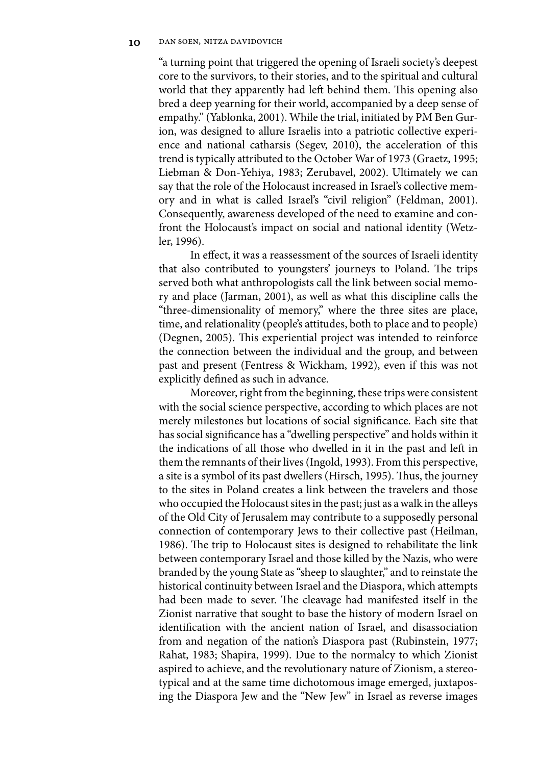"a turning point that triggered the opening of Israeli society's deepest core to the survivors, to their stories, and to the spiritual and cultural world that they apparently had left behind them. This opening also bred a deep yearning for their world, accompanied by a deep sense of empathy." (Yablonka, 2001). While the trial, initiated by PM Ben Gurion, was designed to allure Israelis into a patriotic collective experience and national catharsis (Segev, 2010), the acceleration of this trend is typically attributed to the October War of 1973 (Graetz, 1995; Liebman & Don-Yehiya, 1983; Zerubavel, 2002). Ultimately we can say that the role of the Holocaust increased in Israel's collective memory and in what is called Israel's "civil religion" (Feldman, 2001). Consequently, awareness developed of the need to examine and confront the Holocaust's impact on social and national identity (Wetzler, 1996).

In effect, it was a reassessment of the sources of Israeli identity that also contributed to youngsters' journeys to Poland. The trips served both what anthropologists call the link between social memory and place (Jarman, 2001), as well as what this discipline calls the "three-dimensionality of memory," where the three sites are place, time, and relationality (people's attitudes, both to place and to people) (Degnen, 2005). This experiential project was intended to reinforce the connection between the individual and the group, and between past and present (Fentress & Wickham, 1992), even if this was not explicitly defined as such in advance.

Moreover, right from the beginning, these trips were consistent with the social science perspective, according to which places are not merely milestones but locations of social significance. Each site that has social significance has a "dwelling perspective" and holds within it the indications of all those who dwelled in it in the past and left in them the remnants of their lives (Ingold, 1993). From this perspective, a site is a symbol of its past dwellers (Hirsch, 1995). Thus, the journey to the sites in Poland creates a link between the travelers and those who occupied the Holocaust sites in the past; just as a walk in the alleys of the Old City of Jerusalem may contribute to a supposedly personal connection of contemporary Jews to their collective past (Heilman, 1986). The trip to Holocaust sites is designed to rehabilitate the link between contemporary Israel and those killed by the Nazis, who were branded by the young State as "sheep to slaughter," and to reinstate the historical continuity between Israel and the Diaspora, which attempts had been made to sever. The cleavage had manifested itself in the Zionist narrative that sought to base the history of modern Israel on identification with the ancient nation of Israel, and disassociation from and negation of the nation's Diaspora past (Rubinstein, 1977; Rahat, 1983; Shapira, 1999). Due to the normalcy to which Zionist aspired to achieve, and the revolutionary nature of Zionism, a stereotypical and at the same time dichotomous image emerged, juxtaposing the Diaspora Jew and the "New Jew" in Israel as reverse images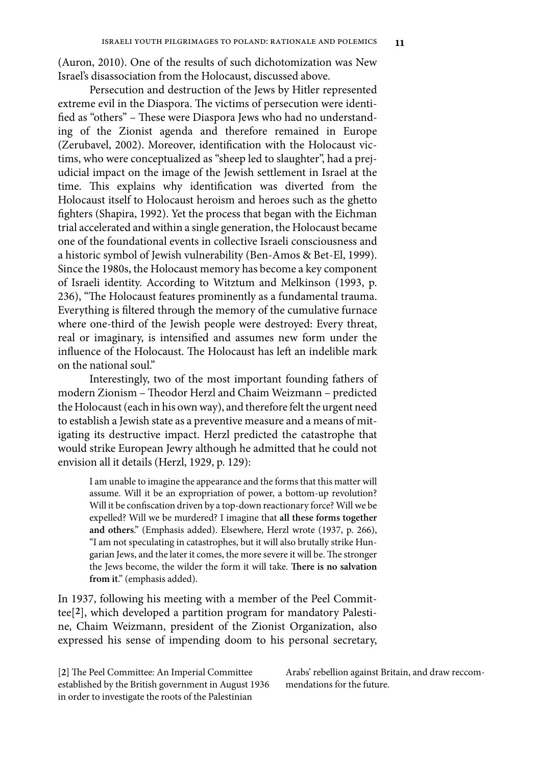(Auron, 2010). One of the results of such dichotomization was New Israel's disassociation from the Holocaust, discussed above.

Persecution and destruction of the Jews by Hitler represented extreme evil in the Diaspora. The victims of persecution were identified as "others" – These were Diaspora Jews who had no understanding of the Zionist agenda and therefore remained in Europe (Zerubavel, 2002). Moreover, identification with the Holocaust victims, who were conceptualized as "sheep led to slaughter", had a prejudicial impact on the image of the Jewish settlement in Israel at the time. This explains why identification was diverted from the Holocaust itself to Holocaust heroism and heroes such as the ghetto fighters (Shapira, 1992). Yet the process that began with the Eichman trial accelerated and within a single generation, the Holocaust became one of the foundational events in collective Israeli consciousness and a historic symbol of Jewish vulnerability (Ben-Amos & Bet-El, 1999). Since the 1980s, the Holocaust memory has become a key component of Israeli identity. According to Witztum and Melkinson (1993, p. 236), "The Holocaust features prominently as a fundamental trauma. Everything is filtered through the memory of the cumulative furnace where one-third of the Jewish people were destroyed: Every threat, real or imaginary, is intensified and assumes new form under the influence of the Holocaust. The Holocaust has left an indelible mark on the national soul."

Interestingly, two of the most important founding fathers of modern Zionism – Theodor Herzl and Chaim Weizmann – predicted the Holocaust (each in his own way), and therefore felt the urgent need to establish a Jewish state as a preventive measure and a means of mitigating its destructive impact. Herzl predicted the catastrophe that would strike European Jewry although he admitted that he could not envision all it details (Herzl, 1929, p. 129):

I am unable to imagine the appearance and the forms that this matter will assume. Will it be an expropriation of power, a bottom-up revolution? Will it be confiscation driven by a top-down reactionary force? Will we be expelled? Will we be murdered? I imagine that **all these forms together and others**." (Emphasis added). Elsewhere, Herzl wrote (1937, p. 266), "I am not speculating in catastrophes, but it will also brutally strike Hungarian Jews, and the later it comes, the more severe it will be. The stronger the Jews become, the wilder the form it will take. **There is no salvation from it**." (emphasis added).

In 1937, following his meeting with a member of the Peel Committee[**2**], which developed a partition program for mandatory Palestine, Chaim Weizmann, president of the Zionist Organization, also expressed his sense of impending doom to his personal secretary,

[**2**] The Peel Committee: An Imperial Committee established by the British government in August 1936 in order to investigate the roots of the Palestinian

Arabs' rebellion against Britain, and draw reccommendations for the future.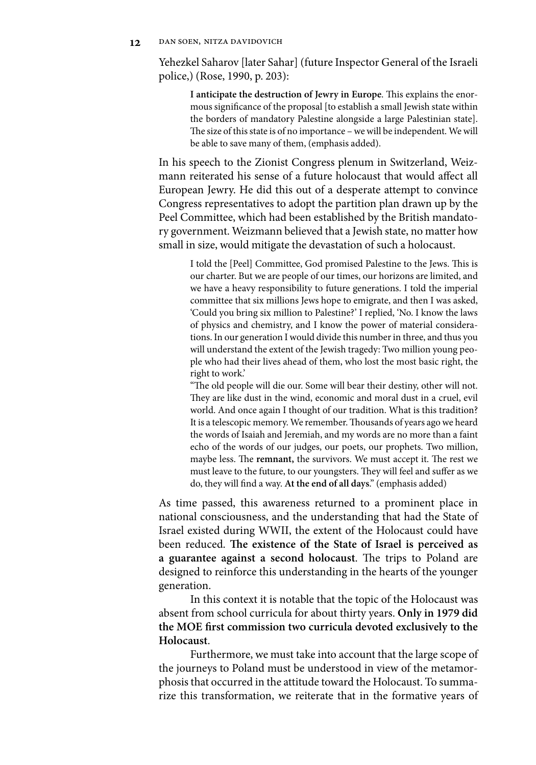Yehezkel Saharov [later Sahar] (future Inspector General of the Israeli police,) (Rose, 1990, p. 203):

**I anticipate the destruction of Jewry in Europe**. This explains the enormous significance of the proposal [to establish a small Jewish state within the borders of mandatory Palestine alongside a large Palestinian state]. The size of this state is of no importance – we will be independent. We will be able to save many of them, (emphasis added).

In his speech to the Zionist Congress plenum in Switzerland, Weizmann reiterated his sense of a future holocaust that would affect all European Jewry. He did this out of a desperate attempt to convince Congress representatives to adopt the partition plan drawn up by the Peel Committee, which had been established by the British mandatory government. Weizmann believed that a Jewish state, no matter how small in size, would mitigate the devastation of such a holocaust.

I told the [Peel] Committee, God promised Palestine to the Jews. This is our charter. But we are people of our times, our horizons are limited, and we have a heavy responsibility to future generations. I told the imperial committee that six millions Jews hope to emigrate, and then I was asked, 'Could you bring six million to Palestine?' I replied, 'No. I know the laws of physics and chemistry, and I know the power of material considerations. In our generation I would divide this number in three, and thus you will understand the extent of the Jewish tragedy: Two million young people who had their lives ahead of them, who lost the most basic right, the right to work.'

"The old people will die our. Some will bear their destiny, other will not. They are like dust in the wind, economic and moral dust in a cruel, evil world. And once again I thought of our tradition. What is this tradition? It is a telescopic memory. We remember. Thousands of years ago we heard the words of Isaiah and Jeremiah, and my words are no more than a faint echo of the words of our judges, our poets, our prophets. Two million, maybe less. The **remnant,** the survivors. We must accept it. The rest we must leave to the future, to our youngsters. They will feel and suffer as we do, they will find a way. **At the end of all days**." (emphasis added)

As time passed, this awareness returned to a prominent place in national consciousness, and the understanding that had the State of Israel existed during WWII, the extent of the Holocaust could have been reduced. **The existence of the State of Israel is perceived as a guarantee against a second holocaust**. The trips to Poland are designed to reinforce this understanding in the hearts of the younger generation.

In this context it is notable that the topic of the Holocaust was absent from school curricula for about thirty years. **Only in 1979 did the MOE first commission two curricula devoted exclusively to the Holocaust**.

Furthermore, we must take into account that the large scope of the journeys to Poland must be understood in view of the metamorphosis that occurred in the attitude toward the Holocaust. To summarize this transformation, we reiterate that in the formative years of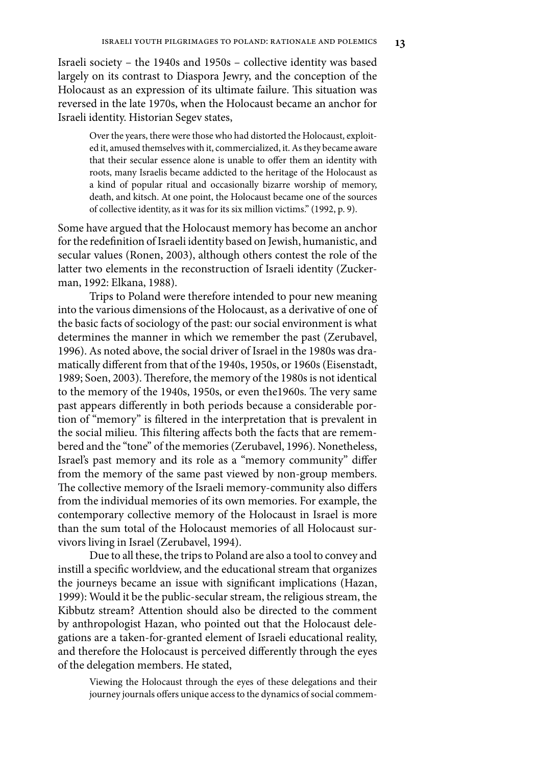Israeli society – the 1940s and 1950s – collective identity was based largely on its contrast to Diaspora Jewry, and the conception of the Holocaust as an expression of its ultimate failure. This situation was reversed in the late 1970s, when the Holocaust became an anchor for Israeli identity. Historian Segev states,

Over the years, there were those who had distorted the Holocaust, exploited it, amused themselves with it, commercialized, it. As they became aware that their secular essence alone is unable to offer them an identity with roots, many Israelis became addicted to the heritage of the Holocaust as a kind of popular ritual and occasionally bizarre worship of memory, death, and kitsch. At one point, the Holocaust became one of the sources of collective identity, as it was for its six million victims." (1992, p. 9).

Some have argued that the Holocaust memory has become an anchor for the redefinition of Israeli identity based on Jewish, humanistic, and secular values (Ronen, 2003), although others contest the role of the latter two elements in the reconstruction of Israeli identity (Zuckerman, 1992: Elkana, 1988).

Trips to Poland were therefore intended to pour new meaning into the various dimensions of the Holocaust, as a derivative of one of the basic facts of sociology of the past: our social environment is what determines the manner in which we remember the past (Zerubavel, 1996). As noted above, the social driver of Israel in the 1980s was dramatically different from that of the 1940s, 1950s, or 1960s (Eisenstadt, 1989; Soen, 2003). Therefore, the memory of the 1980s is not identical to the memory of the 1940s, 1950s, or even the1960s. The very same past appears differently in both periods because a considerable portion of "memory" is filtered in the interpretation that is prevalent in the social milieu. This filtering affects both the facts that are remembered and the "tone" of the memories (Zerubavel, 1996). Nonetheless, Israel's past memory and its role as a "memory community" differ from the memory of the same past viewed by non-group members. The collective memory of the Israeli memory-community also differs from the individual memories of its own memories. For example, the contemporary collective memory of the Holocaust in Israel is more than the sum total of the Holocaust memories of all Holocaust survivors living in Israel (Zerubavel, 1994).

Due to all these, the trips to Poland are also a tool to convey and instill a specific worldview, and the educational stream that organizes the journeys became an issue with significant implications (Hazan, 1999): Would it be the public-secular stream, the religious stream, the Kibbutz stream? Attention should also be directed to the comment by anthropologist Hazan, who pointed out that the Holocaust delegations are a taken-for-granted element of Israeli educational reality, and therefore the Holocaust is perceived differently through the eyes of the delegation members. He stated,

Viewing the Holocaust through the eyes of these delegations and their journey journals offers unique access to the dynamics of social commem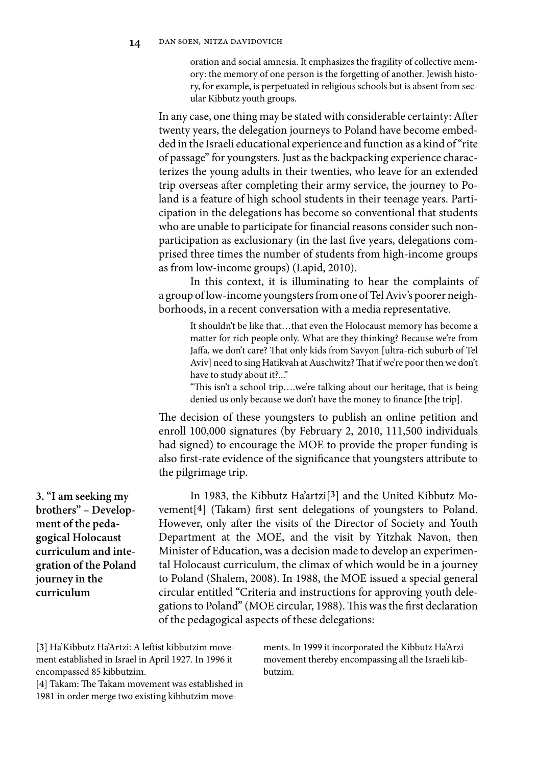oration and social amnesia. It emphasizes the fragility of collective memory: the memory of one person is the forgetting of another. Jewish history, for example, is perpetuated in religious schools but is absent from secular Kibbutz youth groups.

In any case, one thing may be stated with considerable certainty: After twenty years, the delegation journeys to Poland have become embedded in the Israeli educational experience and function as a kind of "rite of passage" for youngsters. Just as the backpacking experience characterizes the young adults in their twenties, who leave for an extended trip overseas after completing their army service, the journey to Poland is a feature of high school students in their teenage years. Participation in the delegations has become so conventional that students who are unable to participate for financial reasons consider such nonparticipation as exclusionary (in the last five years, delegations comprised three times the number of students from high-income groups as from low-income groups) (Lapid, 2010).

In this context, it is illuminating to hear the complaints of a group of low-income youngsters from one of Tel Aviv's poorer neighborhoods, in a recent conversation with a media representative.

It shouldn't be like that…that even the Holocaust memory has become a matter for rich people only. What are they thinking? Because we're from Jaffa, we don't care? That only kids from Savyon [ultra-rich suburb of Tel Aviv] need to sing Hatikvah at Auschwitz? That if we're poor then we don't have to study about it?..."

"This isn't a school trip….we're talking about our heritage, that is being denied us only because we don't have the money to finance [the trip].

The decision of these youngsters to publish an online petition and enroll 100,000 signatures (by February 2, 2010, 111,500 individuals had signed) to encourage the MOE to provide the proper funding is also first-rate evidence of the significance that youngsters attribute to the pilgrimage trip.

In 1983, the Kibbutz Ha'artzi[**3**] and the United Kibbutz Movement[**4**] (Takam) first sent delegations of youngsters to Poland. However, only after the visits of the Director of Society and Youth Department at the MOE, and the visit by Yitzhak Navon, then Minister of Education, was a decision made to develop an experimental Holocaust curriculum, the climax of which would be in a journey to Poland (Shalem, 2008). In 1988, the MOE issued a special general circular entitled "Criteria and instructions for approving youth delegations to Poland" (MOE circular, 1988). This was the first declaration of the pedagogical aspects of these delegations:

[**3**] Ha'Kibbutz Ha'Artzi: A leftist kibbutzim movement established in Israel in April 1927. In 1996 it encompassed 85 kibbutzim.

[**4**] Takam: The Takam movement was established in 1981 in order merge two existing kibbutzim movements. In 1999 it incorporated the Kibbutz Ha'Arzi movement thereby encompassing all the Israeli kibbutzim.

**3. "I am seeking my brothers" – Development of the pedagogical Holocaust curriculum and integration of the Poland journey in the curriculum**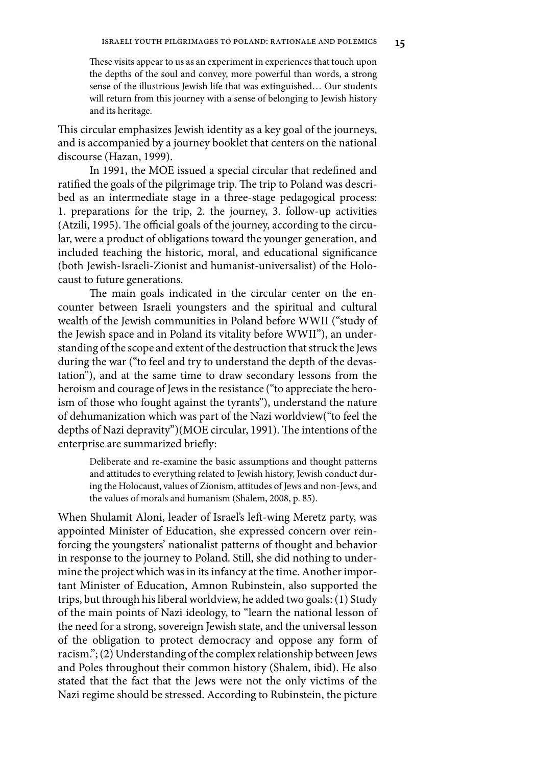These visits appear to us as an experiment in experiences that touch upon the depths of the soul and convey, more powerful than words, a strong sense of the illustrious Jewish life that was extinguished... Our students will return from this journey with a sense of belonging to Jewish history and its heritage.

This circular emphasizes Jewish identity as a key goal of the journeys, and is accompanied by a journey booklet that centers on the national discourse (Hazan, 1999).

In 1991, the MOE issued a special circular that redefined and ratified the goals of the pilgrimage trip. The trip to Poland was described as an intermediate stage in a three-stage pedagogical process: 1. preparations for the trip, 2. the journey, 3. follow-up activities (Atzili, 1995). The official goals of the journey, according to the circular, were a product of obligations toward the younger generation, and included teaching the historic, moral, and educational significance (both Jewish-Israeli-Zionist and humanist-universalist) of the Holocaust to future generations.

The main goals indicated in the circular center on the encounter between Israeli youngsters and the spiritual and cultural wealth of the Jewish communities in Poland before WWII ("study of the Jewish space and in Poland its vitality before WWII"), an understanding of the scope and extent of the destruction that struck the Jews during the war ("to feel and try to understand the depth of the devastation"), and at the same time to draw secondary lessons from the heroism and courage of Jews in the resistance ("to appreciate the heroism of those who fought against the tyrants"), understand the nature of dehumanization which was part of the Nazi worldview("to feel the depths of Nazi depravity")(MOE circular, 1991). The intentions of the enterprise are summarized briefly:

Deliberate and re-examine the basic assumptions and thought patterns and attitudes to everything related to Jewish history, Jewish conduct during the Holocaust, values of Zionism, attitudes of Jews and non-Jews, and the values of morals and humanism (Shalem, 2008, p. 85).

When Shulamit Aloni, leader of Israel's left-wing Meretz party, was appointed Minister of Education, she expressed concern over reinforcing the youngsters' nationalist patterns of thought and behavior in response to the journey to Poland. Still, she did nothing to undermine the project which was in its infancy at the time. Another important Minister of Education, Amnon Rubinstein, also supported the trips, but through his liberal worldview, he added two goals: (1) Study of the main points of Nazi ideology, to "learn the national lesson of the need for a strong, sovereign Jewish state, and the universal lesson of the obligation to protect democracy and oppose any form of racism."; (2) Understanding of the complex relationship between Jews and Poles throughout their common history (Shalem, ibid). He also stated that the fact that the Jews were not the only victims of the Nazi regime should be stressed. According to Rubinstein, the picture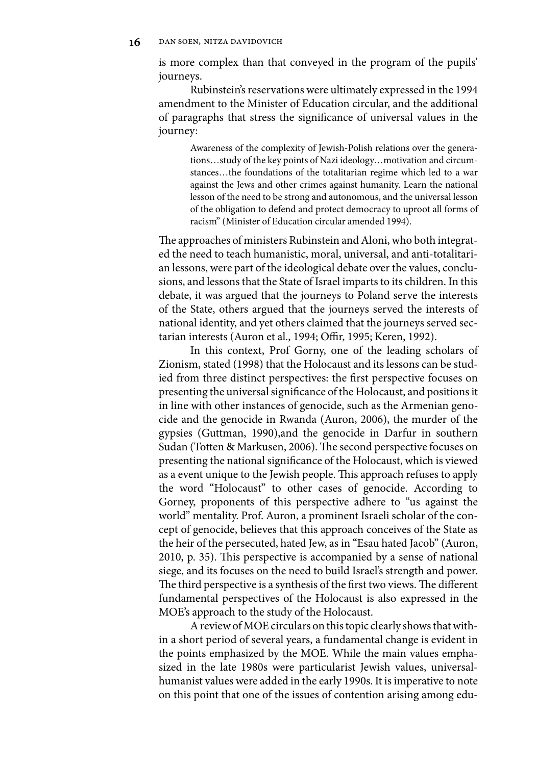is more complex than that conveyed in the program of the pupils' journeys.

Rubinstein's reservations were ultimately expressed in the 1994 amendment to the Minister of Education circular, and the additional of paragraphs that stress the significance of universal values in the journey:

Awareness of the complexity of Jewish-Polish relations over the generations…study of the key points of Nazi ideology…motivation and circumstances…the foundations of the totalitarian regime which led to a war against the Jews and other crimes against humanity. Learn the national lesson of the need to be strong and autonomous, and the universal lesson of the obligation to defend and protect democracy to uproot all forms of racism" (Minister of Education circular amended 1994).

The approaches of ministers Rubinstein and Aloni, who both integrated the need to teach humanistic, moral, universal, and anti-totalitarian lessons, were part of the ideological debate over the values, conclusions, and lessons that the State of Israel imparts to its children. In this debate, it was argued that the journeys to Poland serve the interests of the State, others argued that the journeys served the interests of national identity, and yet others claimed that the journeys served sectarian interests (Auron et al., 1994; Offir, 1995; Keren, 1992).

In this context, Prof Gorny, one of the leading scholars of Zionism, stated (1998) that the Holocaust and its lessons can be studied from three distinct perspectives: the first perspective focuses on presenting the universal significance of the Holocaust, and positions it in line with other instances of genocide, such as the Armenian genocide and the genocide in Rwanda (Auron, 2006), the murder of the gypsies (Guttman, 1990),and the genocide in Darfur in southern Sudan (Totten & Markusen, 2006). The second perspective focuses on presenting the national significance of the Holocaust, which is viewed as a event unique to the Jewish people. This approach refuses to apply the word "Holocaust" to other cases of genocide. According to Gorney, proponents of this perspective adhere to "us against the world" mentality. Prof. Auron, a prominent Israeli scholar of the concept of genocide, believes that this approach conceives of the State as the heir of the persecuted, hated Jew, as in "Esau hated Jacob" (Auron, 2010, p. 35). This perspective is accompanied by a sense of national siege, and its focuses on the need to build Israel's strength and power. The third perspective is a synthesis of the first two views. The different fundamental perspectives of the Holocaust is also expressed in the MOE's approach to the study of the Holocaust.

A review of MOE circulars on this topic clearly shows that within a short period of several years, a fundamental change is evident in the points emphasized by the MOE. While the main values emphasized in the late 1980s were particularist Jewish values, universalhumanist values were added in the early 1990s. It is imperative to note on this point that one of the issues of contention arising among edu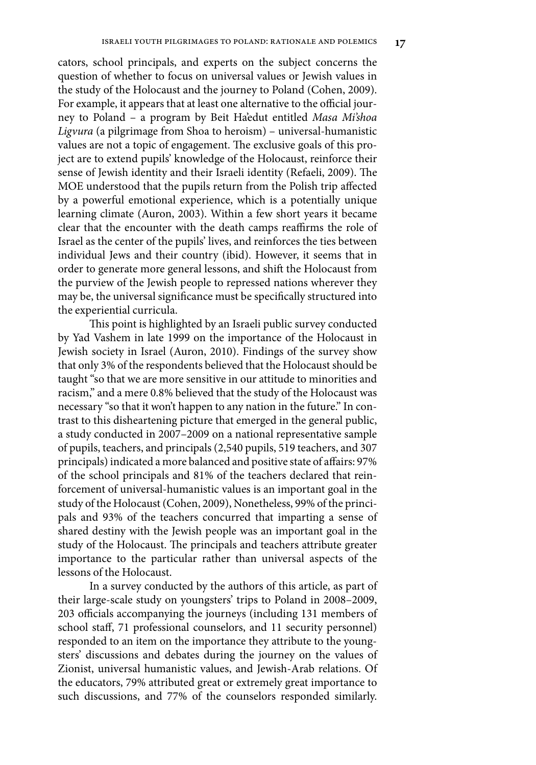cators, school principals, and experts on the subject concerns the question of whether to focus on universal values or Jewish values in the study of the Holocaust and the journey to Poland (Cohen, 2009). For example, it appears that at least one alternative to the official journey to Poland – a program by Beit Ha'edut entitled *Masa Mi'shoa Ligvura* (a pilgrimage from Shoa to heroism) – universal-humanistic values are not a topic of engagement. The exclusive goals of this project are to extend pupils' knowledge of the Holocaust, reinforce their sense of Jewish identity and their Israeli identity (Refaeli, 2009). The MOE understood that the pupils return from the Polish trip affected by a powerful emotional experience, which is a potentially unique learning climate (Auron, 2003). Within a few short years it became clear that the encounter with the death camps reaffirms the role of Israel as the center of the pupils' lives, and reinforces the ties between individual Jews and their country (ibid). However, it seems that in order to generate more general lessons, and shift the Holocaust from the purview of the Jewish people to repressed nations wherever they may be, the universal significance must be specifically structured into the experiential curricula.

This point is highlighted by an Israeli public survey conducted by Yad Vashem in late 1999 on the importance of the Holocaust in Jewish society in Israel (Auron, 2010). Findings of the survey show that only 3% of the respondents believed that the Holocaust should be taught "so that we are more sensitive in our attitude to minorities and racism," and a mere 0.8% believed that the study of the Holocaust was necessary "so that it won't happen to any nation in the future." In contrast to this disheartening picture that emerged in the general public, a study conducted in 2007–2009 on a national representative sample of pupils, teachers, and principals (2,540 pupils, 519 teachers, and 307 principals) indicated a more balanced and positive state of affairs: 97% of the school principals and 81% of the teachers declared that reinforcement of universal-humanistic values is an important goal in the study of the Holocaust (Cohen, 2009), Nonetheless, 99% of the principals and 93% of the teachers concurred that imparting a sense of shared destiny with the Jewish people was an important goal in the study of the Holocaust. The principals and teachers attribute greater importance to the particular rather than universal aspects of the lessons of the Holocaust.

In a survey conducted by the authors of this article, as part of their large-scale study on youngsters' trips to Poland in 2008–2009, 203 officials accompanying the journeys (including 131 members of school staff, 71 professional counselors, and 11 security personnel) responded to an item on the importance they attribute to the youngsters' discussions and debates during the journey on the values of Zionist, universal humanistic values, and Jewish-Arab relations. Of the educators, 79% attributed great or extremely great importance to such discussions, and 77% of the counselors responded similarly.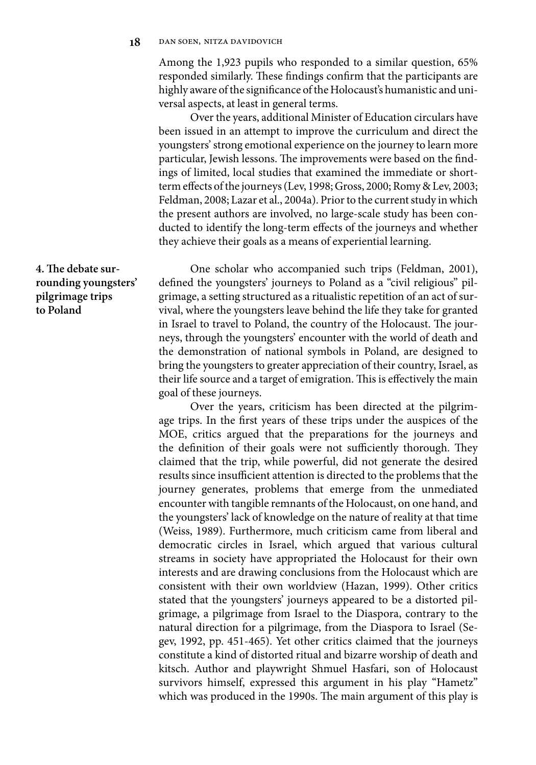Among the 1,923 pupils who responded to a similar question, 65% responded similarly. These findings confirm that the participants are highly aware of the significance of the Holocaust's humanistic and universal aspects, at least in general terms.

Over the years, additional Minister of Education circulars have been issued in an attempt to improve the curriculum and direct the youngsters' strong emotional experience on the journey to learn more particular, Jewish lessons. The improvements were based on the findings of limited, local studies that examined the immediate or shortterm effects of the journeys (Lev, 1998; Gross, 2000; Romy & Lev, 2003; Feldman, 2008; Lazar et al., 2004a). Prior to the current study in which the present authors are involved, no large-scale study has been conducted to identify the long-term effects of the journeys and whether they achieve their goals as a means of experiential learning.

**4. The debate surrounding youngsters' pilgrimage trips to Poland**

One scholar who accompanied such trips (Feldman, 2001), defined the youngsters' journeys to Poland as a "civil religious" pilgrimage, a setting structured as a ritualistic repetition of an act of survival, where the youngsters leave behind the life they take for granted in Israel to travel to Poland, the country of the Holocaust. The journeys, through the youngsters' encounter with the world of death and the demonstration of national symbols in Poland, are designed to bring the youngsters to greater appreciation of their country, Israel, as their life source and a target of emigration. This is effectively the main goal of these journeys.

Over the years, criticism has been directed at the pilgrimage trips. In the first years of these trips under the auspices of the MOE, critics argued that the preparations for the journeys and the definition of their goals were not sufficiently thorough. They claimed that the trip, while powerful, did not generate the desired results since insufficient attention is directed to the problems that the journey generates, problems that emerge from the unmediated encounter with tangible remnants of the Holocaust, on one hand, and the youngsters' lack of knowledge on the nature of reality at that time (Weiss, 1989). Furthermore, much criticism came from liberal and democratic circles in Israel, which argued that various cultural streams in society have appropriated the Holocaust for their own interests and are drawing conclusions from the Holocaust which are consistent with their own worldview (Hazan, 1999). Other critics stated that the youngsters' journeys appeared to be a distorted pilgrimage, a pilgrimage from Israel to the Diaspora, contrary to the natural direction for a pilgrimage, from the Diaspora to Israel (Segev, 1992, pp. 451-465). Yet other critics claimed that the journeys constitute a kind of distorted ritual and bizarre worship of death and kitsch. Author and playwright Shmuel Hasfari, son of Holocaust survivors himself, expressed this argument in his play "Hametz" which was produced in the 1990s. The main argument of this play is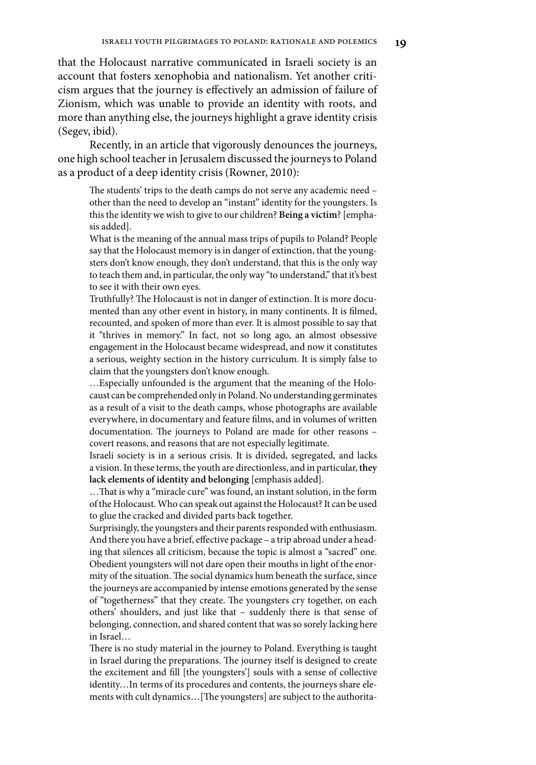that the Holocaust narrative communicated in Israeli society is an account that fosters xenophobia and nationalism. Yet another criticism argues that the journey is effectively an admission of failure of Zionism, which was unable to provide an identity with roots, and more than anything else, the journeys highlight a grave identity crisis (Segev, ibid).

Recently, in an article that vigorously denounces the journeys, one high school teacher in Jerusalem discussed the journeys to Poland as a product of a deep identity crisis (Rowner, 2010):

The students' trips to the death camps do not serve any academic need – other than the need to develop an "instant" identity for the youngsters. Is this the identity we wish to give to our children? **Being a victim**? [emphasis added].

What is the meaning of the annual mass trips of pupils to Poland? People say that the Holocaust memory is in danger of extinction, that the youngsters don't know enough, they don't understand, that this is the only way to teach them and, in particular, the only way "to understand," that it's best to see it with their own eyes.

Truthfully? The Holocaust is not in danger of extinction. It is more documented than any other event in history, in many continents. It is filmed, recounted, and spoken of more than ever. It is almost possible to say that it "thrives in memory." In fact, not so long ago, an almost obsessive engagement in the Holocaust became widespread, and now it constitutes a serious, weighty section in the history curriculum. It is simply false to claim that the youngsters don't know enough.

…Especially unfounded is the argument that the meaning of the Holocaust can be comprehended only in Poland. No understanding germinates as a result of a visit to the death camps, whose photographs are available everywhere, in documentary and feature films, and in volumes of written documentation. The journeys to Poland are made for other reasons – covert reasons, and reasons that are not especially legitimate.

Israeli society is in a serious crisis. It is divided, segregated, and lacks a vision. In these terms, the youth are directionless, and in particular, **they lack elements of identity and belonging** [emphasis added].

…That is why a "miracle cure" was found, an instant solution, in the form of the Holocaust. Who can speak out against the Holocaust? It can be used to glue the cracked and divided parts back together.

Surprisingly, the youngsters and their parents responded with enthusiasm. And there you have a brief, effective package – a trip abroad under a heading that silences all criticism, because the topic is almost a "sacred" one. Obedient youngsters will not dare open their mouths in light of the enormity of the situation. The social dynamics hum beneath the surface, since the journeys are accompanied by intense emotions generated by the sense of "togetherness" that they create. The youngsters cry together, on each others' shoulders, and just like that – suddenly there is that sense of belonging, connection, and shared content that was so sorely lacking here in Israel…

There is no study material in the journey to Poland. Everything is taught in Israel during the preparations. The journey itself is designed to create the excitement and fill [the youngsters'] souls with a sense of collective identity…In terms of its procedures and contents, the journeys share elements with cult dynamics…[The youngsters] are subject to the authorita-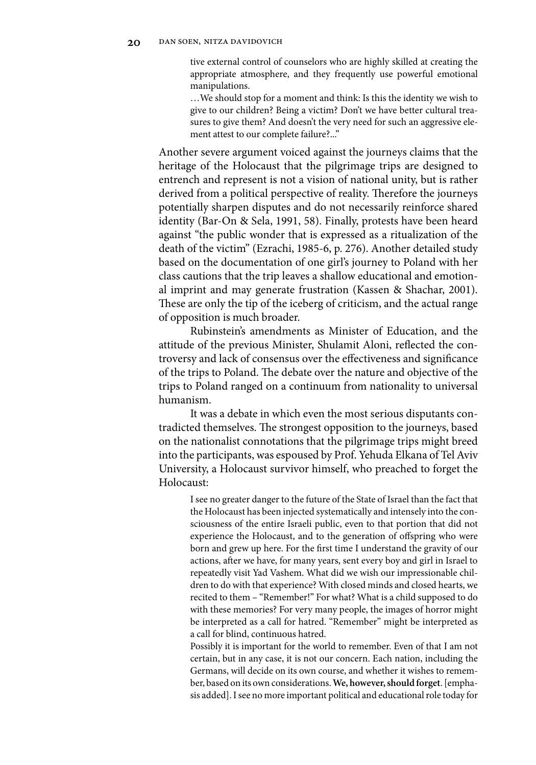tive external control of counselors who are highly skilled at creating the appropriate atmosphere, and they frequently use powerful emotional manipulations.

…We should stop for a moment and think: Is this the identity we wish to give to our children? Being a victim? Don't we have better cultural treasures to give them? And doesn't the very need for such an aggressive element attest to our complete failure?..."

Another severe argument voiced against the journeys claims that the heritage of the Holocaust that the pilgrimage trips are designed to entrench and represent is not a vision of national unity, but is rather derived from a political perspective of reality. Therefore the journeys potentially sharpen disputes and do not necessarily reinforce shared identity (Bar-On & Sela, 1991, 58). Finally, protests have been heard against "the public wonder that is expressed as a ritualization of the death of the victim" (Ezrachi, 1985-6, p. 276). Another detailed study based on the documentation of one girl's journey to Poland with her class cautions that the trip leaves a shallow educational and emotional imprint and may generate frustration (Kassen & Shachar, 2001). These are only the tip of the iceberg of criticism, and the actual range of opposition is much broader.

Rubinstein's amendments as Minister of Education, and the attitude of the previous Minister, Shulamit Aloni, reflected the controversy and lack of consensus over the effectiveness and significance of the trips to Poland. The debate over the nature and objective of the trips to Poland ranged on a continuum from nationality to universal humanism.

It was a debate in which even the most serious disputants contradicted themselves. The strongest opposition to the journeys, based on the nationalist connotations that the pilgrimage trips might breed into the participants, was espoused by Prof. Yehuda Elkana of Tel Aviv University, a Holocaust survivor himself, who preached to forget the Holocaust:

I see no greater danger to the future of the State of Israel than the fact that the Holocaust has been injected systematically and intensely into the consciousness of the entire Israeli public, even to that portion that did not experience the Holocaust, and to the generation of offspring who were born and grew up here. For the first time I understand the gravity of our actions, after we have, for many years, sent every boy and girl in Israel to repeatedly visit Yad Vashem. What did we wish our impressionable children to do with that experience? With closed minds and closed hearts, we recited to them – "Remember!" For what? What is a child supposed to do with these memories? For very many people, the images of horror might be interpreted as a call for hatred. "Remember" might be interpreted as a call for blind, continuous hatred.

Possibly it is important for the world to remember. Even of that I am not certain, but in any case, it is not our concern. Each nation, including the Germans, will decide on its own course, and whether it wishes to remember, based on its own considerations. **We, however, should forget**. [emphasis added]. I see no more important political and educational role today for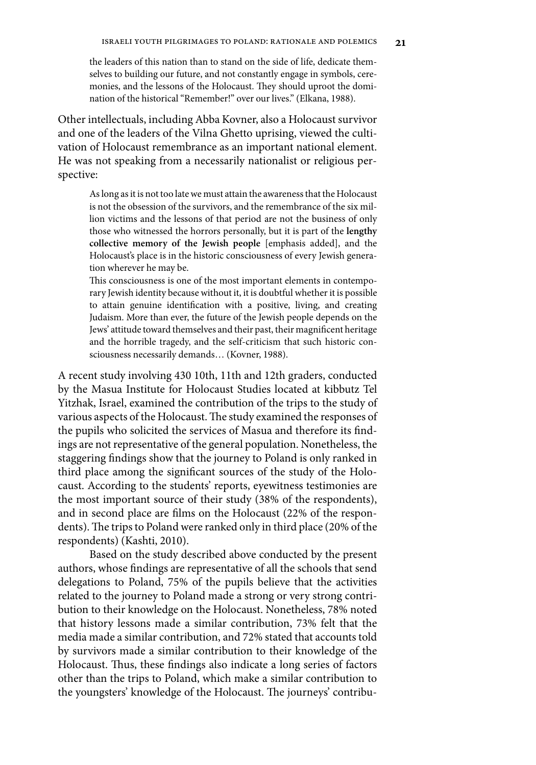the leaders of this nation than to stand on the side of life, dedicate themselves to building our future, and not constantly engage in symbols, ceremonies, and the lessons of the Holocaust. They should uproot the domination of the historical "Remember!" over our lives." (Elkana, 1988).

Other intellectuals, including Abba Kovner, also a Holocaust survivor and one of the leaders of the Vilna Ghetto uprising, viewed the cultivation of Holocaust remembrance as an important national element. He was not speaking from a necessarily nationalist or religious perspective:

As long as it is not too late we must attain the awareness that the Holocaust is not the obsession of the survivors, and the remembrance of the six million victims and the lessons of that period are not the business of only those who witnessed the horrors personally, but it is part of the **lengthy collective memory of the Jewish people** [emphasis added], and the Holocaust's place is in the historic consciousness of every Jewish generation wherever he may be.

This consciousness is one of the most important elements in contemporary Jewish identity because without it, it is doubtful whether it is possible to attain genuine identification with a positive, living, and creating Judaism. More than ever, the future of the Jewish people depends on the Jews' attitude toward themselves and their past, their magnificent heritage and the horrible tragedy, and the self-criticism that such historic consciousness necessarily demands… (Kovner, 1988).

A recent study involving 430 10th, 11th and 12th graders, conducted by the Masua Institute for Holocaust Studies located at kibbutz Tel Yitzhak, Israel, examined the contribution of the trips to the study of various aspects of the Holocaust. The study examined the responses of the pupils who solicited the services of Masua and therefore its findings are not representative of the general population. Nonetheless, the staggering findings show that the journey to Poland is only ranked in third place among the significant sources of the study of the Holocaust. According to the students' reports, eyewitness testimonies are the most important source of their study (38% of the respondents), and in second place are films on the Holocaust (22% of the respondents). The trips to Poland were ranked only in third place (20% of the respondents) (Kashti, 2010).

Based on the study described above conducted by the present authors, whose findings are representative of all the schools that send delegations to Poland, 75% of the pupils believe that the activities related to the journey to Poland made a strong or very strong contribution to their knowledge on the Holocaust. Nonetheless, 78% noted that history lessons made a similar contribution, 73% felt that the media made a similar contribution, and 72% stated that accounts told by survivors made a similar contribution to their knowledge of the Holocaust. Thus, these findings also indicate a long series of factors other than the trips to Poland, which make a similar contribution to the youngsters' knowledge of the Holocaust. The journeys' contribu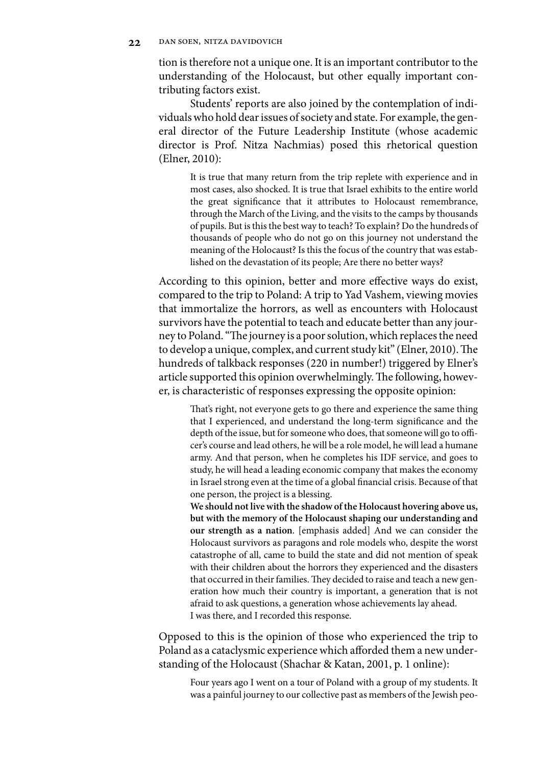tion is therefore not a unique one. It is an important contributor to the understanding of the Holocaust, but other equally important contributing factors exist.

Students' reports are also joined by the contemplation of individuals who hold dear issues of society and state. For example, the general director of the Future Leadership Institute (whose academic director is Prof. Nitza Nachmias) posed this rhetorical question (Elner, 2010):

It is true that many return from the trip replete with experience and in most cases, also shocked. It is true that Israel exhibits to the entire world the great significance that it attributes to Holocaust remembrance, through the March of the Living, and the visits to the camps by thousands of pupils. But is this the best way to teach? To explain? Do the hundreds of thousands of people who do not go on this journey not understand the meaning of the Holocaust? Is this the focus of the country that was established on the devastation of its people; Are there no better ways?

According to this opinion, better and more effective ways do exist, compared to the trip to Poland: A trip to Yad Vashem, viewing movies that immortalize the horrors, as well as encounters with Holocaust survivors have the potential to teach and educate better than any journey to Poland. "The journey is a poor solution, which replaces the need to develop a unique, complex, and current study kit" (Elner, 2010). The hundreds of talkback responses (220 in number!) triggered by Elner's article supported this opinion overwhelmingly. The following, however, is characteristic of responses expressing the opposite opinion:

That's right, not everyone gets to go there and experience the same thing that I experienced, and understand the long-term significance and the depth of the issue, but for someone who does, that someone will go to officer's course and lead others, he will be a role model, he will lead a humane army. And that person, when he completes his IDF service, and goes to study, he will head a leading economic company that makes the economy in Israel strong even at the time of a global financial crisis. Because of that one person, the project is a blessing.

**We should not live with the shadow of the Holocaust hovering above us, but with the memory of the Holocaust shaping our understanding and our strength as a nation**. [emphasis added] And we can consider the Holocaust survivors as paragons and role models who, despite the worst catastrophe of all, came to build the state and did not mention of speak with their children about the horrors they experienced and the disasters that occurred in their families. They decided to raise and teach a new generation how much their country is important, a generation that is not afraid to ask questions, a generation whose achievements lay ahead. I was there, and I recorded this response.

Opposed to this is the opinion of those who experienced the trip to Poland as a cataclysmic experience which afforded them a new understanding of the Holocaust (Shachar & Katan, 2001, p. 1 online):

Four years ago I went on a tour of Poland with a group of my students. It was a painful journey to our collective past as members of the Jewish peo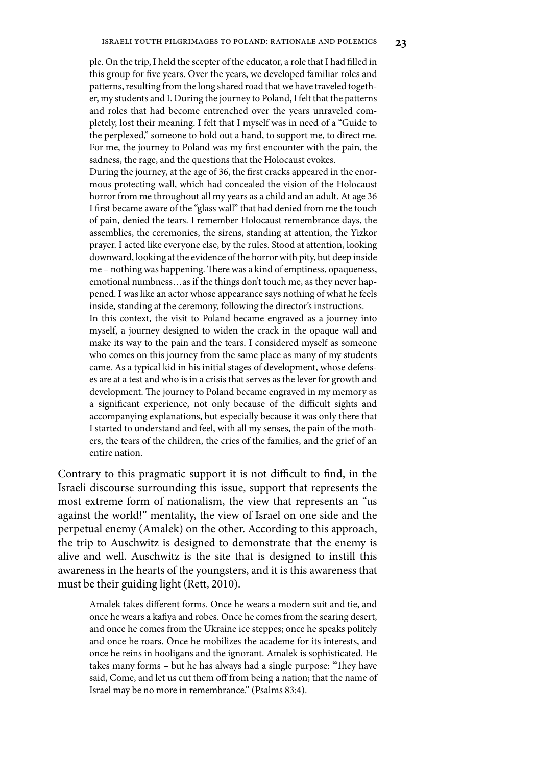ple. On the trip, I held the scepter of the educator, a role that I had filled in this group for five years. Over the years, we developed familiar roles and patterns, resulting from the long shared road that we have traveled together, my students and I. During the journey to Poland, I felt that the patterns and roles that had become entrenched over the years unraveled completely, lost their meaning. I felt that I myself was in need of a "Guide to the perplexed," someone to hold out a hand, to support me, to direct me. For me, the journey to Poland was my first encounter with the pain, the sadness, the rage, and the questions that the Holocaust evokes.

During the journey, at the age of 36, the first cracks appeared in the enormous protecting wall, which had concealed the vision of the Holocaust horror from me throughout all my years as a child and an adult. At age 36 I first became aware of the "glass wall" that had denied from me the touch of pain, denied the tears. I remember Holocaust remembrance days, the assemblies, the ceremonies, the sirens, standing at attention, the Yizkor prayer. I acted like everyone else, by the rules. Stood at attention, looking downward, looking at the evidence of the horror with pity, but deep inside me – nothing was happening. There was a kind of emptiness, opaqueness, emotional numbness…as if the things don't touch me, as they never happened. I was like an actor whose appearance says nothing of what he feels inside, standing at the ceremony, following the director's instructions. In this context, the visit to Poland became engraved as a journey into myself, a journey designed to widen the crack in the opaque wall and make its way to the pain and the tears. I considered myself as someone

who comes on this journey from the same place as many of my students came. As a typical kid in his initial stages of development, whose defenses are at a test and who is in a crisis that serves as the lever for growth and development. The journey to Poland became engraved in my memory as a significant experience, not only because of the difficult sights and accompanying explanations, but especially because it was only there that I started to understand and feel, with all my senses, the pain of the mothers, the tears of the children, the cries of the families, and the grief of an entire nation.

Contrary to this pragmatic support it is not difficult to find, in the Israeli discourse surrounding this issue, support that represents the most extreme form of nationalism, the view that represents an "us against the world!" mentality, the view of Israel on one side and the perpetual enemy (Amalek) on the other. According to this approach, the trip to Auschwitz is designed to demonstrate that the enemy is alive and well. Auschwitz is the site that is designed to instill this awareness in the hearts of the youngsters, and it is this awareness that must be their guiding light (Rett, 2010).

Amalek takes different forms. Once he wears a modern suit and tie, and once he wears a kafiya and robes. Once he comes from the searing desert, and once he comes from the Ukraine ice steppes; once he speaks politely and once he roars. Once he mobilizes the academe for its interests, and once he reins in hooligans and the ignorant. Amalek is sophisticated. He takes many forms – but he has always had a single purpose: "They have said, Come, and let us cut them off from being a nation; that the name of Israel may be no more in remembrance." (Psalms 83:4).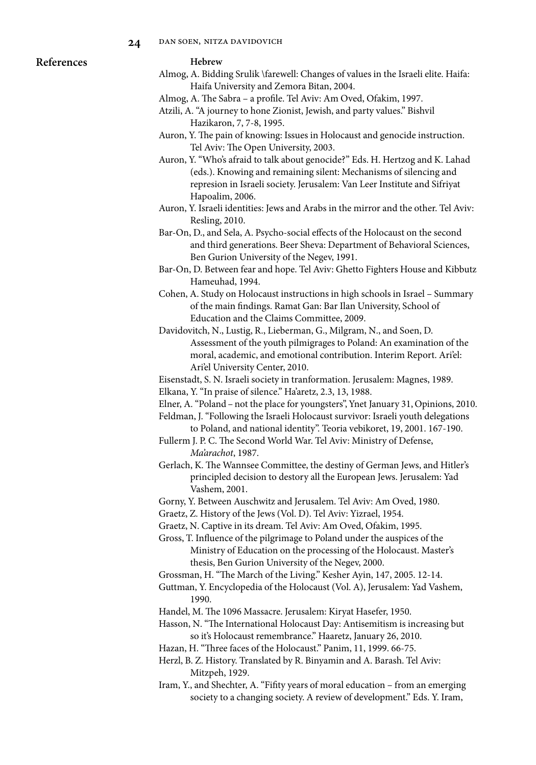

#### **Hebrew**

- Almog, A. Bidding Srulik \farewell: Changes of values in the Israeli elite. Haifa: Haifa University and Zemora Bitan, 2004.
- Almog, A. The Sabra a profile. Tel Aviv: Am Oved, Ofakim, 1997.
- Atzili, A. "A journey to hone Zionist, Jewish, and party values." Bishvil Hazikaron, 7, 7-8, 1995.
- Auron, Y. The pain of knowing: Issues in Holocaust and genocide instruction. Tel Aviv: The Open University, 2003.
- Auron, Y. "Who's afraid to talk about genocide?" Eds. H. Hertzog and K. Lahad (eds.). Knowing and remaining silent: Mechanisms of silencing and represion in Israeli society. Jerusalem: Van Leer Institute and Sifriyat Hapoalim, 2006.
- Auron, Y. Israeli identities: Jews and Arabs in the mirror and the other. Tel Aviv: Resling, 2010.
- Bar-On, D., and Sela, A. Psycho-social effects of the Holocaust on the second and third generations. Beer Sheva: Department of Behavioral Sciences, Ben Gurion University of the Negev, 1991.
- Bar-On, D. Between fear and hope. Tel Aviv: Ghetto Fighters House and Kibbutz Hameuhad, 1994.
- Cohen, A. Study on Holocaust instructions in high schools in Israel Summary of the main findings. Ramat Gan: Bar Ilan University, School of Education and the Claims Committee, 2009.
- Davidovitch, N., Lustig, R., Lieberman, G., Milgram, N., and Soen, D. Assessment of the youth pilmigrages to Poland: An examination of the moral, academic, and emotional contribution. Interim Report. Ari'el: Ari'el University Center, 2010.
- Eisenstadt, S. N. Israeli society in tranformation. Jerusalem: Magnes, 1989. Elkana, Y. "In praise of silence." Ha'aretz, 2.3, 13, 1988.
- Elner, A. "Poland not the place for youngsters", Ynet January 31, Opinions, 2010.
- Feldman, J. "Following the Israeli Holocaust survivor: Israeli youth delegations to Poland, and national identity". Teoria vebikoret, 19, 2001. 167-190.
- Fullerm J. P. C. The Second World War. Tel Aviv: Ministry of Defense, *Ma'arachot*, 1987.
- Gerlach, K. The Wannsee Committee, the destiny of German Jews, and Hitler's principled decision to destory all the European Jews. Jerusalem: Yad Vashem, 2001.
- Gorny, Y. Between Auschwitz and Jerusalem. Tel Aviv: Am Oved, 1980.
- Graetz, Z. History of the Jews (Vol. D). Tel Aviv: Yizrael, 1954.
- Graetz, N. Captive in its dream. Tel Aviv: Am Oved, Ofakim, 1995.
- Gross, T. Influence of the pilgrimage to Poland under the auspices of the Ministry of Education on the processing of the Holocaust. Master's thesis, Ben Gurion University of the Negev, 2000.
- Grossman, H. "The March of the Living." Kesher Ayin, 147, 2005. 12-14.
- Guttman, Y. Encyclopedia of the Holocaust (Vol. A), Jerusalem: Yad Vashem, 1990.
- Handel, M. The 1096 Massacre. Jerusalem: Kiryat Hasefer, 1950.
- Hasson, N. "The International Holocaust Day: Antisemitism is increasing but so it's Holocaust remembrance." Haaretz, January 26, 2010.
- Hazan, H. "Three faces of the Holocaust." Panim, 11, 1999. 66-75.
- Herzl, B. Z. History. Translated by R. Binyamin and A. Barash. Tel Aviv: Mitzpeh, 1929.
- Iram, Y., and Shechter, A. "Fifity years of moral education from an emerging society to a changing society. A review of development." Eds. Y. Iram,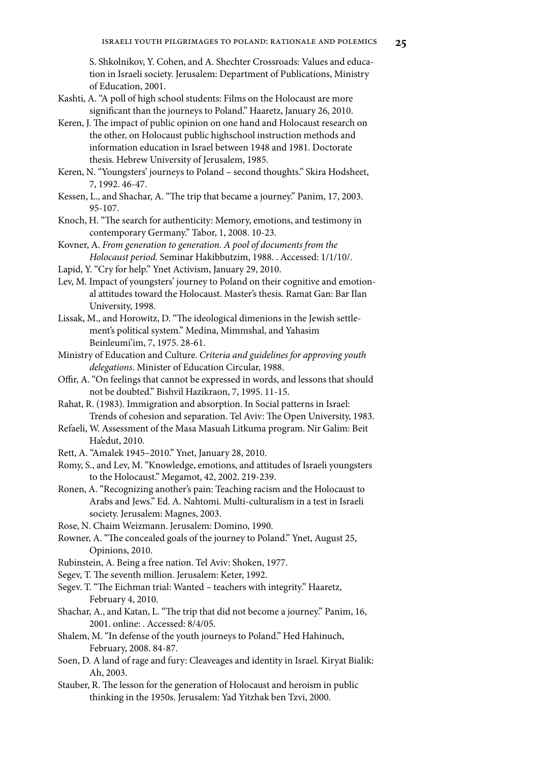S. Shkolnikov, Y. Cohen, and A. Shechter Crossroads: Values and education in Israeli society. Jerusalem: Department of Publications, Ministry of Education, 2001.

- Kashti, A. "A poll of high school students: Films on the Holocaust are more significant than the journeys to Poland." Haaretz, January 26, 2010.
- Keren, J. The impact of public opinion on one hand and Holocaust research on the other, on Holocaust public highschool instruction methods and information education in Israel between 1948 and 1981. Doctorate thesis. Hebrew University of Jerusalem, 1985.
- Keren, N. "Youngsters' journeys to Poland second thoughts." Skira Hodsheet, 7, 1992. 46-47.
- Kessen, L., and Shachar, A. "The trip that became a journey." Panim, 17, 2003. 95-107.
- Knoch, H. "The search for authenticity: Memory, emotions, and testimony in contemporary Germany." Tabor, 1, 2008. 10-23.
- Kovner, A. *From generation to generation. A pool of documents from the Holocaust period.* Seminar Hakibbutzim, 1988. . Accessed: 1/1/10/.
- Lapid, Y. "Cry for help." Ynet Activism, January 29, 2010.
- Lev, M. Impact of youngsters' journey to Poland on their cognitive and emotional attitudes toward the Holocaust. Master's thesis. Ramat Gan: Bar Ilan University, 1998.
- Lissak, M., and Horowitz, D. "The ideological dimenions in the Jewish settlement's political system." Medina, Mimmshal, and Yahasim Beinleumi'im, 7, 1975. 28-61.
- Ministry of Education and Culture. *Criteria and guidelines for approving youth delegations*. Minister of Education Circular, 1988.
- Offir, A. "On feelings that cannot be expressed in words, and lessons that should not be doubted." Bishvil Hazikraon, 7, 1995. 11-15.
- Rahat, R. (1983). Immigration and absorption. In Social patterns in Israel: Trends of cohesion and separation. Tel Aviv: The Open University, 1983.
- Refaeli, W. Assessment of the Masa Masuah Litkuma program. Nir Galim: Beit Ha'edut, 2010.
- Rett, A. "Amalek 1945–2010." Ynet, January 28, 2010.
- Romy, S., and Lev, M. "Knowledge, emotions, and attitudes of Israeli youngsters to the Holocaust." Megamot, 42, 2002. 219-239.
- Ronen, A. "Recognizing another's pain: Teaching racism and the Holocaust to Arabs and Jews." Ed. A. Nahtomi. Multi-culturalism in a test in Israeli society. Jerusalem: Magnes, 2003.
- Rose, N. Chaim Weizmann. Jerusalem: Domino, 1990.
- Rowner, A. "The concealed goals of the journey to Poland." Ynet, August 25, Opinions, 2010.
- Rubinstein, A. Being a free nation. Tel Aviv: Shoken, 1977.
- Segev, T. The seventh million. Jerusalem: Keter, 1992.
- Segev. T. "The Eichman trial: Wanted teachers with integrity." Haaretz, February 4, 2010.
- Shachar, A., and Katan, L. "The trip that did not become a journey." Panim, 16, 2001. online: . Accessed: 8/4/05.
- Shalem, M. "In defense of the youth journeys to Poland." Hed Hahinuch, February, 2008. 84-87.
- Soen, D. A land of rage and fury: Cleaveages and identity in Israel*.* Kiryat Bialik: Ah, 2003.
- Stauber, R. The lesson for the generation of Holocaust and heroism in public thinking in the 1950s. Jerusalem: Yad Yitzhak ben Tzvi, 2000.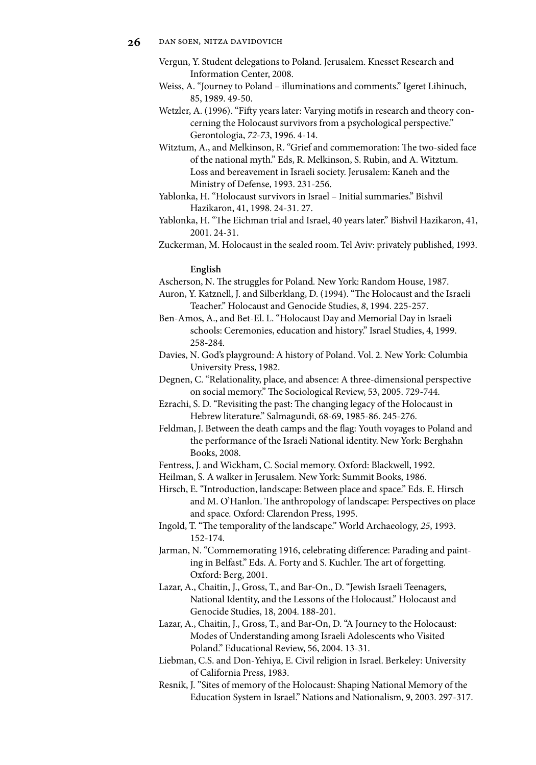- Vergun, Y. Student delegations to Poland. Jerusalem. Knesset Research and Information Center, 2008.
- Weiss, A. "Journey to Poland illuminations and comments." Igeret Lihinuch, 85, 1989. 49-50.
- Wetzler, A. (1996). "Fifty years later: Varying motifs in research and theory concerning the Holocaust survivors from a psychological perspective." Gerontologia, *72-73*, 1996. 4-14.
- Witztum, A., and Melkinson, R. "Grief and commemoration: The two-sided face of the national myth." Eds, R. Melkinson, S. Rubin, and A. Witztum. Loss and bereavement in Israeli society. Jerusalem: Kaneh and the Ministry of Defense, 1993. 231-256.
- Yablonka, H. "Holocaust survivors in Israel Initial summaries." Bishvil Hazikaron, 41, 1998. 24-31. 27.
- Yablonka, H. "The Eichman trial and Israel, 40 years later." Bishvil Hazikaron, 41, 2001. 24-31.
- Zuckerman, M. Holocaust in the sealed room. Tel Aviv: privately published, 1993.

### **English**

- Ascherson, N. The struggles for Poland*.* New York: Random House, 1987.
- Auron, Y. Katznell, J. and Silberklang, D. (1994). "The Holocaust and the Israeli Teacher." Holocaust and Genocide Studies, *8*, 1994. 225-257.
- Ben-Amos, A., and Bet-El. L. "Holocaust Day and Memorial Day in Israeli schools: Ceremonies, education and history." Israel Studies, 4, 1999. 258-284.
- Davies, N. God's playground: A history of Poland. Vol. 2*.* New York: Columbia University Press, 1982.
- Degnen, C. "Relationality, place, and absence: A three-dimensional perspective on social memory." The Sociological Review, 53, 2005. 729-744.
- Ezrachi, S. D. "Revisiting the past: The changing legacy of the Holocaust in Hebrew literature." Salmagundi*,* 68-69, 1985-86. 245-276.
- Feldman, J. Between the death camps and the flag: Youth voyages to Poland and the performance of the Israeli National identity. New York: Berghahn Books, 2008.
- Fentress, J. and Wickham, C. Social memory. Oxford: Blackwell, 1992.
- Heilman, S. A walker in Jerusalem*.* New York: Summit Books, 1986.
- Hirsch, E. "Introduction, landscape: Between place and space." Eds. E. Hirsch and M. O'Hanlon. The anthropology of landscape: Perspectives on place and space*.* Oxford: Clarendon Press, 1995.
- Ingold, T. "The temporality of the landscape." World Archaeology, *25*, 1993. 152-174.
- Jarman, N. "Commemorating 1916, celebrating difference: Parading and painting in Belfast." Eds. A. Forty and S. Kuchler. The art of forgetting. Oxford: Berg, 2001.
- Lazar, A., Chaitin, J., Gross, T., and Bar-On., D. "Jewish Israeli Teenagers, National Identity, and the Lessons of the Holocaust." Holocaust and Genocide Studies, 18, 2004. 188-201.
- Lazar, A., Chaitin, J., Gross, T., and Bar-On, D. "A Journey to the Holocaust: Modes of Understanding among Israeli Adolescents who Visited Poland." Educational Review, 56, 2004. 13-31.
- Liebman, C.S. and Don-Yehiya, E. Civil religion in Israel. Berkeley: University of California Press, 1983.
- Resnik, J. "Sites of memory of the Holocaust: Shaping National Memory of the Education System in Israel." Nations and Nationalism, 9, 2003. 297-317.